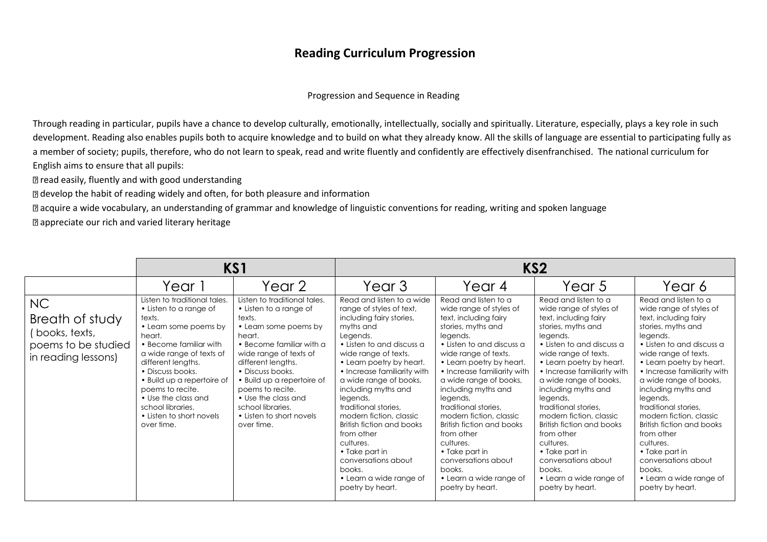#### Progression and Sequence in Reading

Through reading in particular, pupils have a chance to develop culturally, emotionally, intellectually, socially and spiritually. Literature, especially, plays a key role in such development. Reading also enables pupils both to acquire knowledge and to build on what they already know. All the skills of language are essential to participating fully as a member of society; pupils, therefore, who do not learn to speak, read and write fluently and confidently are effectively disenfranchised. The national curriculum for English aims to ensure that all pupils:

**D** read easily, fluently and with good understanding

develop the habit of reading widely and often, for both pleasure and information

acquire a wide vocabulary, an understanding of grammar and knowledge of linguistic conventions for reading, writing and spoken language

**a** appreciate our rich and varied literary heritage

|                                                                                       |                                                                                                                                                                                                                                                                                                                                             | KS1                                                                                                                                                                                                                                                                                                                                         |                                                                                                                                                                                                                                                                                                                                                                                                                                                                                                      |                                                                                                                                                                                                                                                                                                                                                                                                                                                                                                      | KS <sub>2</sub>                                                                                                                                                                                                                                                                                                                                                                                                                                                                                      |                                                                                                                                                                                                                                                                                                                                                                                                                                                                                                      |
|---------------------------------------------------------------------------------------|---------------------------------------------------------------------------------------------------------------------------------------------------------------------------------------------------------------------------------------------------------------------------------------------------------------------------------------------|---------------------------------------------------------------------------------------------------------------------------------------------------------------------------------------------------------------------------------------------------------------------------------------------------------------------------------------------|------------------------------------------------------------------------------------------------------------------------------------------------------------------------------------------------------------------------------------------------------------------------------------------------------------------------------------------------------------------------------------------------------------------------------------------------------------------------------------------------------|------------------------------------------------------------------------------------------------------------------------------------------------------------------------------------------------------------------------------------------------------------------------------------------------------------------------------------------------------------------------------------------------------------------------------------------------------------------------------------------------------|------------------------------------------------------------------------------------------------------------------------------------------------------------------------------------------------------------------------------------------------------------------------------------------------------------------------------------------------------------------------------------------------------------------------------------------------------------------------------------------------------|------------------------------------------------------------------------------------------------------------------------------------------------------------------------------------------------------------------------------------------------------------------------------------------------------------------------------------------------------------------------------------------------------------------------------------------------------------------------------------------------------|
|                                                                                       | Year 1                                                                                                                                                                                                                                                                                                                                      | Year 2                                                                                                                                                                                                                                                                                                                                      | Year 3                                                                                                                                                                                                                                                                                                                                                                                                                                                                                               | Year 4                                                                                                                                                                                                                                                                                                                                                                                                                                                                                               | Year 5                                                                                                                                                                                                                                                                                                                                                                                                                                                                                               | Year 6                                                                                                                                                                                                                                                                                                                                                                                                                                                                                               |
| NC<br>Breath of study<br>(books, texts,<br>poems to be studied<br>in reading lessons) | Listen to traditional tales.<br>• Listen to a range of<br>texts.<br>• Learn some poems by<br>heart.<br>• Become familiar with<br>a wide range of texts of<br>different lengths.<br>• Discuss books.<br>• Build up a repertoire of<br>poems to recite.<br>• Use the class and<br>school libraries.<br>• Listen to short novels<br>over time. | Listen to traditional tales.<br>• Listen to a range of<br>texts.<br>• Learn some poems by<br>heart.<br>• Become familiar with a<br>wide range of texts of<br>different lengths.<br>• Discuss books.<br>· Build up a repertoire of<br>poems to recite.<br>• Use the class and<br>school libraries.<br>• Listen to short novels<br>over time. | Read and listen to a wide<br>range of styles of text,<br>including fairy stories,<br>myths and<br>Legends.<br>• Listen to and discuss a<br>wide range of texts.<br>• Learn poetry by heart.<br>• Increase familiarity with<br>a wide range of books,<br>including myths and<br>legends,<br>traditional stories.<br>modern fiction, classic<br>British fiction and books<br>from other<br>cultures.<br>• Take part in<br>conversations about<br>books.<br>• Learn a wide range of<br>poetry by heart. | Read and listen to a<br>wide range of styles of<br>text, including fairy<br>stories, myths and<br>legends.<br>• Listen to and discuss a<br>wide range of texts.<br>• Learn poetry by heart.<br>• Increase familiarity with<br>a wide range of books,<br>including myths and<br>legends,<br>traditional stories.<br>modern fiction, classic<br>British fiction and books<br>from other<br>cultures.<br>• Take part in<br>conversations about<br>books.<br>• Learn a wide range of<br>poetry by heart. | Read and listen to a<br>wide range of styles of<br>text, including fairy<br>stories, myths and<br>legends.<br>• Listen to and discuss a<br>wide range of texts.<br>• Learn poetry by heart.<br>• Increase familiarity with<br>a wide range of books,<br>including myths and<br>legends,<br>traditional stories.<br>modern fiction, classic<br>British fiction and books<br>from other<br>cultures.<br>• Take part in<br>conversations about<br>books.<br>• Learn a wide range of<br>poetry by heart. | Read and listen to a<br>wide range of styles of<br>text, including fairy<br>stories, myths and<br>legends.<br>• Listen to and discuss a<br>wide range of texts.<br>• Learn poetry by heart.<br>• Increase familiarity with<br>a wide range of books,<br>including myths and<br>legends,<br>traditional stories.<br>modern fiction, classic<br>British fiction and books<br>from other<br>cultures.<br>• Take part in<br>conversations about<br>books.<br>• Learn a wide range of<br>poetry by heart. |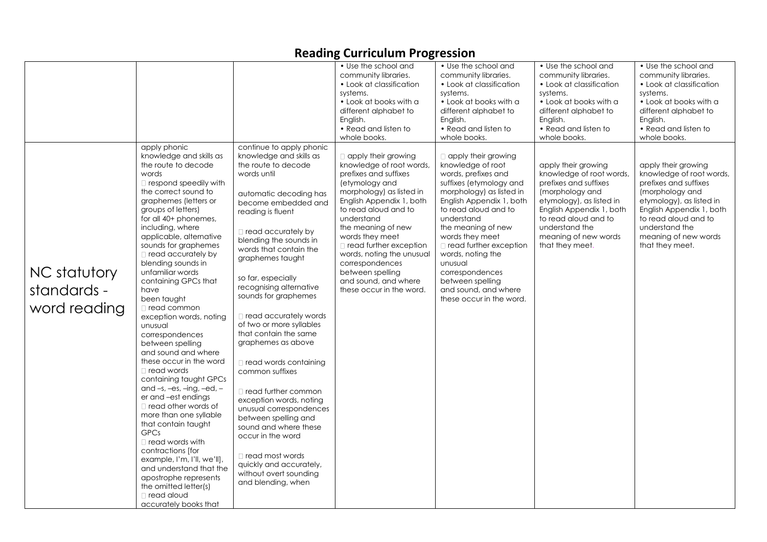| • Use the school and<br>• Use the school and<br>• Use the school and<br>• Use the school and<br>community libraries.<br>community libraries.<br>community libraries.<br>community libraries.<br>• Look at classification<br>• Look at classification<br>• Look at classification<br>• Look at classification<br>systems.<br>systems.<br>systems.<br>systems.<br>• Look at books with a<br>• Look at books with a<br>• Look at books with a<br>• Look at books with a<br>different alphabet to<br>different alphabet to<br>different alphabet to<br>different alphabet to<br>English.<br>English.<br>English.<br>English.<br>• Read and listen to<br>• Read and listen to<br>• Read and listen to<br>• Read and listen to<br>whole books.<br>whole books.<br>whole books.<br>whole books.<br>continue to apply phonic<br>apply phonic<br>knowledge and skills as<br>knowledge and skills as<br>$\Box$ apply their growing<br>$\Box$ apply their growing<br>the route to decode<br>the route to decode<br>knowledge of root words,<br>knowledge of root<br>apply their growing<br>apply their growing<br>words<br>prefixes and suffixes<br>words, prefixes and<br>knowledge of root words,<br>words until<br>(etymology and<br>suffixes (etymology and<br>prefixes and suffixes<br>prefixes and suffixes<br>$\Box$ respond speedily with<br>the correct sound to<br>morphology) as listed in<br>morphology) as listed in<br>(morphology and<br>(morphology and<br>automatic decoding has<br>graphemes (letters or<br>English Appendix 1, both<br>English Appendix 1, both<br>etymology), as listed in<br>etymology), as listed in<br>become embedded and<br>to read aloud and to<br>to read aloud and to<br>English Appendix 1, both<br>groups of letters)<br>reading is fluent<br>for all 40+ phonemes,<br>understand<br>understand<br>to read aloud and to<br>to read aloud and to<br>including, where<br>understand the<br>understand the<br>the meaning of new<br>the meaning of new<br>$\Box$ read accurately by<br>applicable, alternative<br>words they meet<br>words they meet<br>meaning of new words<br>meaning of new words<br>blending the sounds in<br>sounds for graphemes<br>$\Box$ read further exception<br>that they meet.<br>that they meet.<br>$\Box$ read further exception<br>words that contain the<br>$\Box$ read accurately by<br>words, noting the unusual<br>words, noting the<br>graphemes taught<br>blending sounds in<br>unusual<br>correspondences<br>NC statutory<br>unfamiliar words<br>between spelling<br>correspondences<br>so far, especially<br>containing GPCs that<br>and sound, and where<br>between spelling<br>recognising alternative<br>standards -<br>have<br>these occur in the word.<br>and sound, and where<br>sounds for graphemes<br>been taught<br>these occur in the word. |              |               | Reading Curriculum Frogression |  |                                                      |
|-------------------------------------------------------------------------------------------------------------------------------------------------------------------------------------------------------------------------------------------------------------------------------------------------------------------------------------------------------------------------------------------------------------------------------------------------------------------------------------------------------------------------------------------------------------------------------------------------------------------------------------------------------------------------------------------------------------------------------------------------------------------------------------------------------------------------------------------------------------------------------------------------------------------------------------------------------------------------------------------------------------------------------------------------------------------------------------------------------------------------------------------------------------------------------------------------------------------------------------------------------------------------------------------------------------------------------------------------------------------------------------------------------------------------------------------------------------------------------------------------------------------------------------------------------------------------------------------------------------------------------------------------------------------------------------------------------------------------------------------------------------------------------------------------------------------------------------------------------------------------------------------------------------------------------------------------------------------------------------------------------------------------------------------------------------------------------------------------------------------------------------------------------------------------------------------------------------------------------------------------------------------------------------------------------------------------------------------------------------------------------------------------------------------------------------------------------------------------------------------------------------------------------------------------------------------------------------------------------------------------------------------------------------------------------------------------------------------------------------------------------------------------------------------------------------------------------|--------------|---------------|--------------------------------|--|------------------------------------------------------|
|                                                                                                                                                                                                                                                                                                                                                                                                                                                                                                                                                                                                                                                                                                                                                                                                                                                                                                                                                                                                                                                                                                                                                                                                                                                                                                                                                                                                                                                                                                                                                                                                                                                                                                                                                                                                                                                                                                                                                                                                                                                                                                                                                                                                                                                                                                                                                                                                                                                                                                                                                                                                                                                                                                                                                                                                                               |              |               |                                |  |                                                      |
| read accurately words<br>exception words, noting<br>of two or more syllables<br>unusual<br>that contain the same<br>correspondences<br>graphemes as above<br>between spelling<br>and sound and where<br>these occur in the word<br>read words containing<br>read words<br>common suffixes<br>containing taught GPCs<br>and $-s$ , $-es$ , $-ing$ , $-ed$ , $-$<br>□ read further common<br>er and -est endings<br>exception words, noting<br>$\Box$ read other words of<br>unusual correspondences<br>more than one syllable<br>between spelling and<br>that contain taught<br>sound and where these<br><b>GPCs</b><br>occur in the word<br>$\Box$ read words with<br>contractions [for<br>$\Box$ read most words<br>example, I'm, I'll, we'll],<br>quickly and accurately,<br>and understand that the<br>without overt sounding<br>apostrophe represents<br>and blending, when<br>the omitted letter(s)<br>□ read aloud<br>accurately books that                                                                                                                                                                                                                                                                                                                                                                                                                                                                                                                                                                                                                                                                                                                                                                                                                                                                                                                                                                                                                                                                                                                                                                                                                                                                                                                                                                                                                                                                                                                                                                                                                                                                                                                                                                                                                                                                             | word reading | □ read common |                                |  | knowledge of root words,<br>English Appendix 1, both |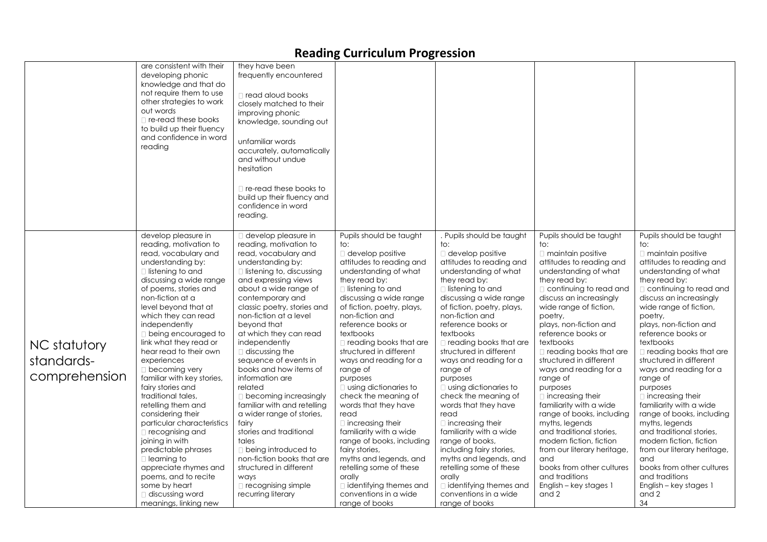|                                             | are consistent with their<br>developing phonic<br>knowledge and that do<br>not require them to use<br>other strategies to work<br>out words<br>$\Box$ re-read these books<br>to build up their fluency<br>and confidence in word<br>reading                                                                                                                                                                                                                                                                                                                                                                                                                                                                                                               | they have been<br>frequently encountered<br>□ read aloud books<br>closely matched to their<br>improving phonic<br>knowledge, sounding out<br>unfamiliar words<br>accurately, automatically<br>and without undue<br>hesitation<br>$\Box$ re-read these books to<br>build up their fluency and<br>confidence in word<br>reading.                                                                                                                                                                                                                                                                                                                                                                                             |                                                                                                                                                                                                                                                                                                                                                                                                                                                                                                                                                                                                                                                                                                                            |                                                                                                                                                                                                                                                                                                                                                                                                                                                                                                                                                                                                                                                                                                                             |                                                                                                                                                                                                                                                                                                                                                                                                                                                                                                                                                                                                                                                                                           |                                                                                                                                                                                                                                                                                                                                                                                                                                                                                                                                                                                                                                                                                                   |
|---------------------------------------------|-----------------------------------------------------------------------------------------------------------------------------------------------------------------------------------------------------------------------------------------------------------------------------------------------------------------------------------------------------------------------------------------------------------------------------------------------------------------------------------------------------------------------------------------------------------------------------------------------------------------------------------------------------------------------------------------------------------------------------------------------------------|----------------------------------------------------------------------------------------------------------------------------------------------------------------------------------------------------------------------------------------------------------------------------------------------------------------------------------------------------------------------------------------------------------------------------------------------------------------------------------------------------------------------------------------------------------------------------------------------------------------------------------------------------------------------------------------------------------------------------|----------------------------------------------------------------------------------------------------------------------------------------------------------------------------------------------------------------------------------------------------------------------------------------------------------------------------------------------------------------------------------------------------------------------------------------------------------------------------------------------------------------------------------------------------------------------------------------------------------------------------------------------------------------------------------------------------------------------------|-----------------------------------------------------------------------------------------------------------------------------------------------------------------------------------------------------------------------------------------------------------------------------------------------------------------------------------------------------------------------------------------------------------------------------------------------------------------------------------------------------------------------------------------------------------------------------------------------------------------------------------------------------------------------------------------------------------------------------|-------------------------------------------------------------------------------------------------------------------------------------------------------------------------------------------------------------------------------------------------------------------------------------------------------------------------------------------------------------------------------------------------------------------------------------------------------------------------------------------------------------------------------------------------------------------------------------------------------------------------------------------------------------------------------------------|---------------------------------------------------------------------------------------------------------------------------------------------------------------------------------------------------------------------------------------------------------------------------------------------------------------------------------------------------------------------------------------------------------------------------------------------------------------------------------------------------------------------------------------------------------------------------------------------------------------------------------------------------------------------------------------------------|
| NC statutory<br>standards-<br>comprehension | develop pleasure in<br>reading, motivation to<br>read, vocabulary and<br>understanding by:<br>$\Box$ listening to and<br>discussing a wide range<br>of poems, stories and<br>non-fiction at a<br>level beyond that at<br>which they can read<br>independently<br><b>D</b> being encouraged to<br>link what they read or<br>hear read to their own<br>experiences<br>$\Box$ becoming very<br>familiar with key stories,<br>fairy stories and<br>traditional tales,<br>retelling them and<br>considering their<br>particular characteristics<br>$\Box$ recognising and<br>joining in with<br>predictable phrases<br>$\Box$ learning to<br>appreciate rhymes and<br>poems, and to recite<br>some by heart<br>$\Box$ discussing word<br>meanings, linking new | $\Box$ develop pleasure in<br>reading, motivation to<br>read, vocabulary and<br>understanding by:<br>$\Box$ listening to, discussing<br>and expressing views<br>about a wide range of<br>contemporary and<br>classic poetry, stories and<br>non-fiction at a level<br>beyond that<br>at which they can read<br>independently<br>discussing the<br>sequence of events in<br>books and how items of<br>information are<br>related<br>$\Box$ becoming increasingly<br>familiar with and retelling<br>a wider range of stories,<br>fairy<br>stories and traditional<br>tales<br>$\Box$ being introduced to<br>non-fiction books that are<br>structured in different<br>ways<br>$\Box$ recognising simple<br>recurring literary | Pupils should be taught<br>to:<br>$\Box$ develop positive<br>attitudes to reading and<br>understanding of what<br>they read by:<br>□ listening to and<br>discussing a wide range<br>of fiction, poetry, plays,<br>non-fiction and<br>reference books or<br>textbooks<br>$\Box$ reading books that are<br>structured in different<br>ways and reading for a<br>range of<br>purposes<br>$\Box$ using dictionaries to<br>check the meaning of<br>words that they have<br>read<br>$\Box$ increasing their<br>familiarity with a wide<br>range of books, including<br>fairy stories,<br>myths and legends, and<br>retelling some of these<br>orally<br>$\Box$ identifying themes and<br>conventions in a wide<br>range of books | . Pupils should be taught<br>to:<br>$\Box$ develop positive<br>attitudes to reading and<br>understanding of what<br>they read by:<br>$\Box$ listening to and<br>discussing a wide range<br>of fiction, poetry, plays,<br>non-fiction and<br>reference books or<br>textbooks<br>$\Box$ reading books that are<br>structured in different<br>ways and reading for a<br>range of<br>purposes<br>$\Box$ using dictionaries to<br>check the meaning of<br>words that they have<br>read<br>$\Box$ increasing their<br>familiarity with a wide<br>range of books,<br>including fairy stories,<br>myths and legends, and<br>retelling some of these<br>orally<br>didentifying themes and<br>conventions in a wide<br>range of books | Pupils should be taught<br>to:<br>$\Box$ maintain positive<br>attitudes to reading and<br>understanding of what<br>they read by:<br>continuing to read and<br>discuss an increasingly<br>wide range of fiction,<br>poetry,<br>plays, non-fiction and<br>reference books or<br>textbooks<br>$\Box$ reading books that are<br>structured in different<br>ways and reading for a<br>range of<br>purposes<br>$\Box$ increasing their<br>familiarity with a wide<br>range of books, including<br>myths, legends<br>and traditional stories,<br>modern fiction, fiction<br>from our literary heritage,<br>and<br>books from other cultures<br>and traditions<br>English – key stages 1<br>and 2 | Pupils should be taught<br>to:<br>$\Box$ maintain positive<br>attitudes to reading and<br>understanding of what<br>they read by:<br>□ continuing to read and<br>discuss an increasingly<br>wide range of fiction,<br>poetry,<br>plays, non-fiction and<br>reference books or<br>textbooks<br>$\Box$ reading books that are<br>structured in different<br>ways and reading for a<br>range of<br>purposes<br>$\Box$ increasing their<br>familiarity with a wide<br>range of books, including<br>myths, legends<br>and traditional stories,<br>modern fiction, fiction<br>from our literary heritage,<br>and<br>books from other cultures<br>and traditions<br>English – key stages 1<br>and 2<br>34 |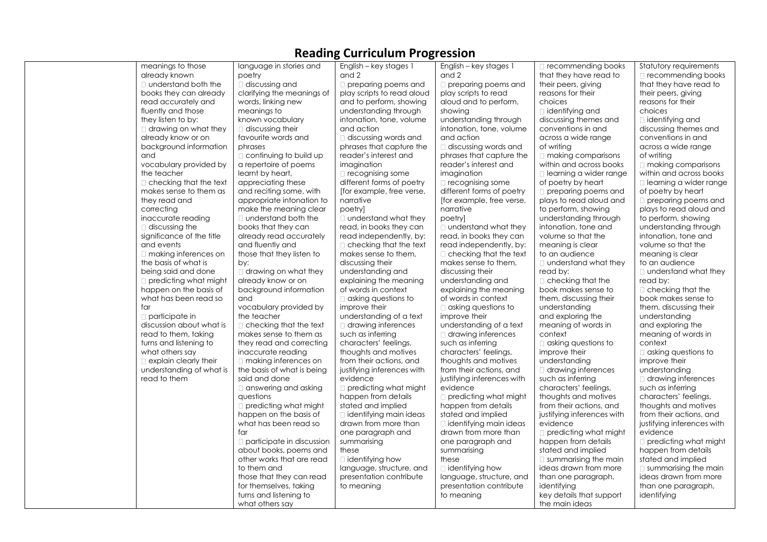#### meanings to those already known understand both the books they can already read accurately and fluently and those they listen to by:  $\Box$  drawing on what they already know or on background information and vocabulary provided by the teacher checking that the text makes sense to them as they read and correcting inaccurate reading discussing the significance of the title and events making inferences on the basis of what is being said and done predicting what might happen on the basis of what has been read so  $for$  $\Box$  participate in discussion about what is read to them, taking turns and listening to what others say **Explain clearly their** understanding of what is read to them language in stories and poetry discussing and clarifying the meanings of words, linking new meanings to known vocabulary discussing their favourite words and phrases continuing to build up a repertoire of poems learnt by heart, appreciating these and reciting some, with appropriate intonation to make the meaning clear  $\Box$  understand both the books that they can already read accurately and fluently and those that they listen to by:  $\Box$  drawing on what they already know or on background information and vocabulary provided by the teacher  $\Box$  checking that the text makes sense to them as they read and correcting inaccurate reading □ making inferences on the basis of what is being said and done  $\square$  answering and asking questions  $\Box$  predicting what might happen on the basis of what has been read so far participate in discussion about books, poems and other works that are read to them and those that they can read for themselves, taking turns and listening to what others say English – key stages 1 and 2  $\Box$  preparing poems and play scripts to read aloud and to perform, showing understanding through intonation, tone, volume and action discussing words and phrases that capture the reader's interest and imaaination  $\Box$  recognising some different forms of poetry [for example, free verse, narrative poetry] □ understand what they read, in books they can read independently, by: □ checking that the text makes sense to them, discussing their understanding and explaining the meaning of words in context  $\Box$  asking questions to improve their understanding of a text drawing inferences such as inferring characters' feelings, thoughts and motives from their actions, and justifying inferences with evidence □ predicting what might happen from details stated and implied identifying main ideas drawn from more than one paragraph and summarising these  $\Box$  identifying how language, structure, and presentation contribute to meaning English – key stages 1 and 2  $\Box$  preparing poems and play scripts to read aloud and to perform, showing understanding through intonation, tone, volume and action  $\Box$  discussing words and phrases that capture the reader's interest and imagination  $\Box$  recognising some different forms of poetry [for example, free verse, narrative poetry] □ understand what they read, in books they can read independently, by:  $\Box$  checking that the text makes sense to them, discussing their understanding and explaining the meaning of words in context  $\Box$  asking questions to improve their understanding of a text drawing inferences such as inferring characters' feelings, thoughts and motives from their actions, and justifying inferences with evidence □ predicting what might happen from details stated and implied identifying main ideas drawn from more than one paragraph and summarising these  $\Box$  identifying how language, structure, and presentation contribute to meaning recommending books that they have read to their peers, giving reasons for their choices identifying and discussing themes and conventions in and across a wide range of writing  $\Box$  making comparisons within and across books learning a wider range of poetry by heart **preparing poems and** plays to read aloud and to perform, showing understanding through intonation, tone and volume so that the meaning is clear to an audience □ understand what they read by:  $\Box$  checking that the book makes sense to them, discussing their understanding and exploring the meaning of words in context  $\Box$  asking questions to improve their understanding drawing inferences such as inferring characters' feelings, thoughts and motives from their actions, and justifying inferences with evidence **predicting what might** happen from details stated and implied  $\Box$  summarising the main ideas drawn from more than one paragraph, identifying key details that support the main ideas Statutory requirements □ recommending books that they have read to their peers, giving reasons for their choices  $\Box$  identifying and discussing themes and conventions in and across a wide range of writing making comparisons within and across books learning a wider range of poetry by heart  $\Box$  preparing poems and plays to read aloud and to perform, showing understanding through intonation, tone and volume so that the meaning is clear to an audience □ understand what they read by:  $\Box$  checking that the book makes sense to them, discussing their understanding and exploring the meaning of words in context  $\Box$  asking questions to improve their understanding drawing inferences such as inferring characters' feelings, thoughts and motives from their actions, and justifying inferences with evidence □ predicting what might happen from details stated and implied summarising the main ideas drawn from more than one paragraph, identifying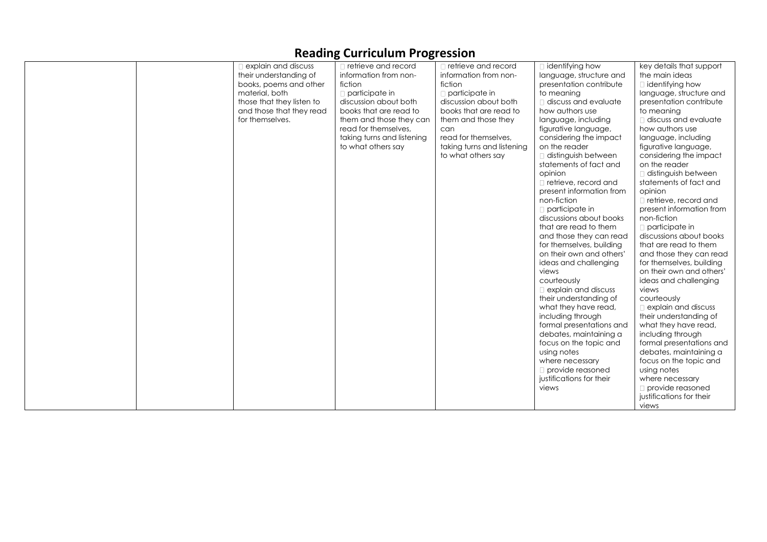| explain and discuss<br>their understanding of<br>books, poems and other<br>material, both<br>those that they listen to<br>and those that they read<br>for themselves. | □ retrieve and record<br>information from non-<br>fiction<br>$\Box$ participate in<br>discussion about both<br>books that are read to<br>them and those they can<br>read for themselves,<br>taking turns and listening<br>to what others say | $\Box$ retrieve and record<br>information from non-<br>fiction<br>$\Box$ participate in<br>discussion about both<br>books that are read to<br>them and those they<br>can<br>read for themselves,<br>taking turns and listening<br>to what others say | $\Box$ identifying how<br>language, structure and<br>presentation contribute<br>to meanina<br>$\Box$ discuss and evaluate<br>how authors use<br>language, including<br>figurative language,<br>considering the impact<br>on the reader<br>distinguish between<br>statements of fact and<br>opinion<br>□ retrieve, record and<br>present information from<br>non-fiction<br>$\Box$ participate in<br>discussions about books<br>that are read to them<br>and those they can read<br>for themselves, building<br>on their own and others'<br>ideas and challenging<br>views<br>courteously<br>$\Box$ explain and discuss<br>their understanding of<br>what they have read,<br>including through<br>formal presentations and<br>debates, maintaining a<br>focus on the topic and | key details that support<br>the main ideas<br>$\Box$ identifying how<br>language, structure and<br>presentation contribute<br>to meaning<br>$\Box$ discuss and evaluate<br>how authors use<br>language, including<br>figurative language,<br>considering the impact<br>on the reader<br>$\Box$ distinguish between<br>statements of fact and<br>opinion<br>$\Box$ retrieve, record and<br>present information from<br>non-fiction<br>$\Box$ participate in<br>discussions about books<br>that are read to them<br>and those they can read<br>for themselves, building<br>on their own and others'<br>ideas and challenging<br>views<br>courteously<br>explain and discuss<br>their understanding of<br>what they have read,<br>including through<br>formal presentations and |
|-----------------------------------------------------------------------------------------------------------------------------------------------------------------------|----------------------------------------------------------------------------------------------------------------------------------------------------------------------------------------------------------------------------------------------|------------------------------------------------------------------------------------------------------------------------------------------------------------------------------------------------------------------------------------------------------|-------------------------------------------------------------------------------------------------------------------------------------------------------------------------------------------------------------------------------------------------------------------------------------------------------------------------------------------------------------------------------------------------------------------------------------------------------------------------------------------------------------------------------------------------------------------------------------------------------------------------------------------------------------------------------------------------------------------------------------------------------------------------------|------------------------------------------------------------------------------------------------------------------------------------------------------------------------------------------------------------------------------------------------------------------------------------------------------------------------------------------------------------------------------------------------------------------------------------------------------------------------------------------------------------------------------------------------------------------------------------------------------------------------------------------------------------------------------------------------------------------------------------------------------------------------------|
|                                                                                                                                                                       |                                                                                                                                                                                                                                              |                                                                                                                                                                                                                                                      | using notes<br>where necessary<br>$\Box$ provide reasoned<br>justifications for their<br>views                                                                                                                                                                                                                                                                                                                                                                                                                                                                                                                                                                                                                                                                                | debates, maintaining a<br>focus on the topic and<br>using notes<br>where necessary<br>$\Box$ provide reasoned<br>justifications for their<br>views                                                                                                                                                                                                                                                                                                                                                                                                                                                                                                                                                                                                                           |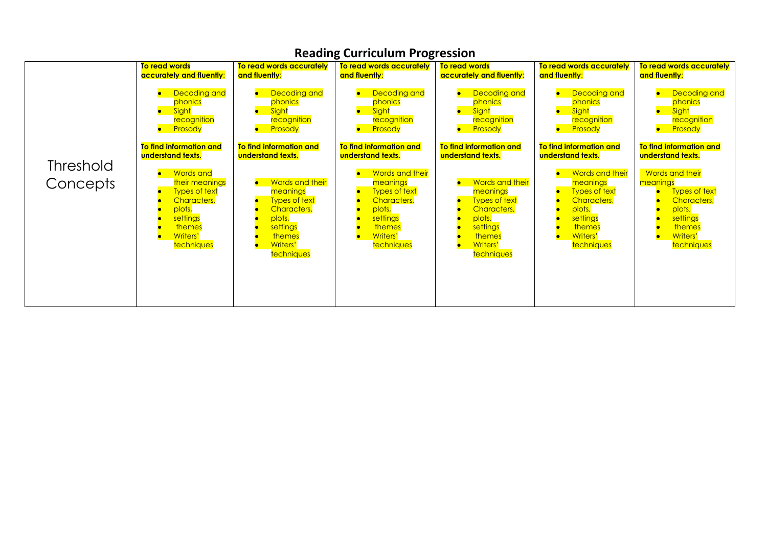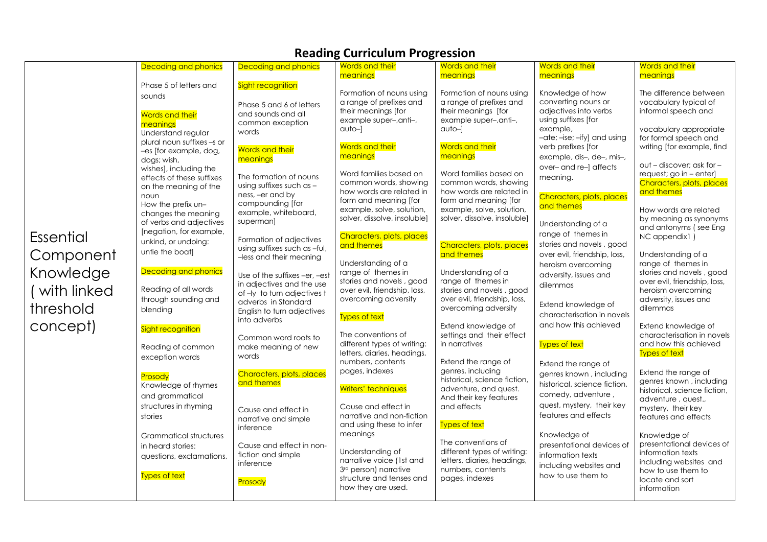|                                                     |                                                                                              |                                                                                                  | יפט דווישושט פי                                                                                                                 | <u>.</u>                                                                                                                 |                                                                                                                                    |                                                                                                                           |  |
|-----------------------------------------------------|----------------------------------------------------------------------------------------------|--------------------------------------------------------------------------------------------------|---------------------------------------------------------------------------------------------------------------------------------|--------------------------------------------------------------------------------------------------------------------------|------------------------------------------------------------------------------------------------------------------------------------|---------------------------------------------------------------------------------------------------------------------------|--|
|                                                     | <b>Decoding and phonics</b>                                                                  | <b>Decoding and phonics</b>                                                                      | <b>Words and their</b><br>meanings                                                                                              | <b>Words and their</b><br>meanings                                                                                       | Words and their<br>meanings                                                                                                        | Words and their<br>meanings                                                                                               |  |
|                                                     | Phase 5 of letters and<br>sounds<br><b>Words and their</b><br>meaninas<br>Understand regular | Sight recognition<br>Phase 5 and 6 of letters<br>and sounds and all<br>common exception<br>words | Formation of nouns using<br>a range of prefixes and<br>their meanings [for<br>example super-, anti-,<br>$q$ uto- $\overline{q}$ | Formation of nouns using<br>a range of prefixes and<br>their meanings [for<br>example super-, anti-,<br>$q$ uto- $\vert$ | Knowledge of how<br>converting nouns or<br>adjectives into verbs<br>using suffixes [for<br>example,<br>-ate; -ise; -ify] and using | The difference between<br>vocabulary typical of<br>informal speech and<br>vocabulary appropriate<br>for formal speech and |  |
|                                                     | plural noun suffixes -s or<br>-es [for example, dog,<br>dogs; wish,                          | Words and their<br>meanings                                                                      | <b>Words and their</b><br>meanings                                                                                              | Words and their<br>meanings                                                                                              | verb prefixes [for<br>example, dis-, de-, mis-,                                                                                    | writing [for example, find<br>out - discover; ask for -                                                                   |  |
|                                                     | wishes], including the<br>effects of these suffixes<br>on the meaning of the                 | The formation of nouns<br>using suffixes such as -<br>ness, -er and by                           | Word families based on<br>common words, showing<br>how words are related in                                                     | Word families based on<br>common words, showing<br>how words are related in                                              | over-and re-] affects<br>meaning.                                                                                                  | request; go in – enter]<br>Characters, plots, places<br>and themes                                                        |  |
|                                                     | noun<br>How the prefix un-<br>changes the meaning<br>of verbs and adjectives                 | compounding [for<br>example, whiteboard,<br>superman]                                            | form and meaning [for<br>example, solve, solution,<br>solver, dissolve, insoluble]                                              | form and meaning [for<br>example, solve, solution,<br>solver, dissolve, insoluble]                                       | Characters, plots, places<br>and themes                                                                                            | How words are related<br>by meaning as synonyms                                                                           |  |
| Essential<br>Component<br>Knowledge<br>(with linked | [negation, for example,<br>unkind, or undoing:<br>untie the boat]                            | Formation of adjectives<br>using suffixes such as -ful,<br>-less and their meaning               | Characters, plots, places<br>and themes                                                                                         | Characters, plots, places<br>and themes                                                                                  | Understanding of a<br>range of themes in<br>stories and novels, good<br>over evil, friendship, loss,                               | and antonyms (see Eng<br>NC appendix1)<br>Understanding of a                                                              |  |
|                                                     | <b>Decoding and phonics</b><br>Reading of all words                                          | Use of the suffixes -er, -est<br>in adjectives and the use<br>of -ly to turn adjectives t        | Understanding of a<br>range of themes in<br>stories and novels, good<br>over evil, friendship, loss,                            | Understanding of a<br>range of themes in<br>stories and novels, good                                                     | heroism overcoming<br>adversity, issues and<br>dilemmas                                                                            | range of themes in<br>stories and novels, good<br>over evil, friendship, loss,<br>heroism overcoming                      |  |
| threshold<br>concept)                               | through sounding and<br>blending                                                             | adverbs in Standard<br>English to turn adjectives<br>into adverbs                                | overcoming adversity<br><b>Types of text</b>                                                                                    | over evil, friendship, loss,<br>overcoming adversity<br>Extend knowledge of                                              | Extend knowledge of<br>characterisation in novels<br>and how this achieved                                                         | adversity, issues and<br>dilemmas<br>Extend knowledge of                                                                  |  |
|                                                     | Sight recognition<br>Reading of common<br>exception words                                    | Common word roots to<br>make meaning of new<br>words                                             | The conventions of<br>different types of writing:<br>letters, diaries, headings,                                                | settings and their effect<br>in narratives                                                                               | <b>Types of text</b>                                                                                                               | characterisation in novels<br>and how this achieved<br>Types of text                                                      |  |
|                                                     | Prosody<br>Knowledge of rhymes                                                               | Characters, plots, places<br>and themes                                                          | numbers, contents<br>pages, indexes<br>Writers' techniques                                                                      | Extend the range of<br>genres, including<br>historical, science fiction,<br>adventure, and quest.                        | Extend the range of<br>genres known, including<br>historical, science fiction,                                                     | Extend the range of<br>genres known, including<br>historical, science fiction,                                            |  |
|                                                     | and grammatical<br>structures in rhyming<br>stories                                          | Cause and effect in<br>narrative and simple                                                      | Cause and effect in<br>narrative and non-fiction<br>and using these to infer                                                    | And their key features<br>and effects<br><b>Types of text</b>                                                            | comedy, adventure,<br>quest, mystery, their key<br>features and effects                                                            | adventure, quest.,<br>mystery, their key<br>features and effects                                                          |  |
|                                                     | <b>Grammatical structures</b><br>in heard stories:<br>questions, exclamations,               | inference<br>Cause and effect in non-<br>fiction and simple<br>inference                         | meanings<br>Understanding of<br>narrative voice (1st and                                                                        | The conventions of<br>different types of writing:<br>letters, diaries, headings,                                         | Knowledge of<br>presentational devices of<br>information texts                                                                     | Knowledge of<br>presentational devices of<br>information texts<br>including websites and                                  |  |
|                                                     | <b>Types of text</b>                                                                         | Prosody                                                                                          | 3 <sup>rd</sup> person) narrative<br>structure and tenses and<br>how they are used.                                             | numbers, contents<br>pages, indexes                                                                                      | including websites and<br>how to use them to                                                                                       | how to use them to<br>locate and sort<br>information                                                                      |  |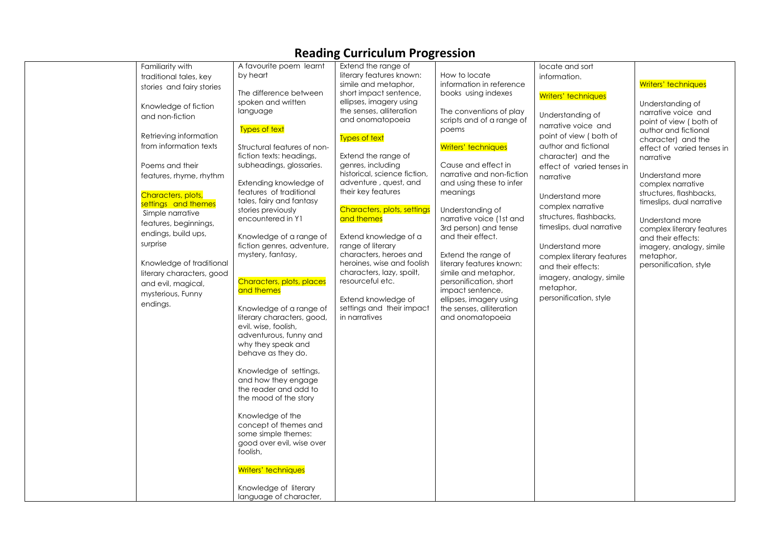|                                                                                                                                                                                                                                                                                                                                                                                                                                                                   |                                                                                                                                                                                                                                                                                                                                                                                                                                                                                                                                                                                                                                                                                               | <u> -</u>                                                                                                                                                                                                                                                                                                                                                                                                                                                                                                                                                                                                |                                                                                                                                                                                                                                                                                                                                                                                                                                                                                                                                                        |                                                                                                                                                                                                                                                                                                                                                                                                                                                               |                                                                                                                                                                                                                                                                                                                                                                                                                            |
|-------------------------------------------------------------------------------------------------------------------------------------------------------------------------------------------------------------------------------------------------------------------------------------------------------------------------------------------------------------------------------------------------------------------------------------------------------------------|-----------------------------------------------------------------------------------------------------------------------------------------------------------------------------------------------------------------------------------------------------------------------------------------------------------------------------------------------------------------------------------------------------------------------------------------------------------------------------------------------------------------------------------------------------------------------------------------------------------------------------------------------------------------------------------------------|----------------------------------------------------------------------------------------------------------------------------------------------------------------------------------------------------------------------------------------------------------------------------------------------------------------------------------------------------------------------------------------------------------------------------------------------------------------------------------------------------------------------------------------------------------------------------------------------------------|--------------------------------------------------------------------------------------------------------------------------------------------------------------------------------------------------------------------------------------------------------------------------------------------------------------------------------------------------------------------------------------------------------------------------------------------------------------------------------------------------------------------------------------------------------|---------------------------------------------------------------------------------------------------------------------------------------------------------------------------------------------------------------------------------------------------------------------------------------------------------------------------------------------------------------------------------------------------------------------------------------------------------------|----------------------------------------------------------------------------------------------------------------------------------------------------------------------------------------------------------------------------------------------------------------------------------------------------------------------------------------------------------------------------------------------------------------------------|
| Familiarity with<br>traditional tales, key<br>stories and fairy stories<br>Knowledge of fiction<br>and non-fiction<br>Retrieving information<br>from information texts<br>Poems and their<br>features, rhyme, rhythm<br>Characters, plots,<br>settings and themes<br>Simple narrative<br>features, beginnings,<br>endings, build ups,<br>surprise<br>Knowledge of traditional<br>literary characters, good<br>and evil, magical,<br>mysterious, Funny<br>endings. | A favourite poem learnt<br>by heart<br>The difference between<br>spoken and written<br>language<br>Types of text<br>Structural features of non-<br>fiction texts: headings,<br>subheadings, glossaries.<br>Extending knowledge of<br>features of traditional<br>tales, fairy and fantasy<br>stories previously<br>encountered in Y1<br>Knowledge of a range of<br>fiction genres, adventure,<br>mystery, fantasy,<br>Characters, plots, places<br>and themes<br>Knowledge of a range of<br>literary characters, good,<br>evil. wise, foolish,<br>adventurous, funny and<br>why they speak and<br>behave as they do.<br>Knowledge of settings,<br>and how they engage<br>the reader and add to | Extend the range of<br>literary features known:<br>simile and metaphor,<br>short impact sentence,<br>ellipses, imagery using<br>the senses, alliteration<br>and onomatopoeia<br><b>Types of text</b><br>Extend the range of<br>genres, including<br>historical, science fiction,<br>adventure, quest, and<br>their key features<br>Characters, plots, settings<br>and themes<br>Extend knowledge of a<br>range of literary<br>characters, heroes and<br>heroines, wise and foolish<br>characters, lazy, spoilt,<br>resourceful etc.<br>Extend knowledge of<br>settings and their impact<br>in narratives | How to locate<br>information in reference<br>books using indexes<br>The conventions of play<br>scripts and of a range of<br>poems<br>Writers' techniques<br>Cause and effect in<br>narrative and non-fiction<br>and using these to infer<br>meanings<br>Understanding of<br>narrative voice (1st and<br>3rd person) and tense<br>and their effect.<br>Extend the range of<br>literary features known:<br>simile and metaphor,<br>personification, short<br>impact sentence,<br>ellipses, imagery using<br>the senses, alliteration<br>and onomatopoeia | locate and sort<br>information.<br>Writers' techniques<br>Understanding of<br>narrative voice and<br>point of view (both of<br>author and fictional<br>character) and the<br>effect of varied tenses in<br>narrative<br>Understand more<br>complex narrative<br>structures, flashbacks,<br>timeslips, dual narrative<br>Understand more<br>complex literary features<br>and their effects:<br>imagery, analogy, simile<br>metaphor,<br>personification, style | Writers' techniques<br>Understanding of<br>narrative voice and<br>point of view (both of<br>author and fictional<br>character) and the<br>effect of varied tenses in<br>narrative<br>Understand more<br>complex narrative<br>structures, flashbacks,<br>timeslips, dual narrative<br>Understand more<br>complex literary features<br>and their effects:<br>imagery, analogy, simile<br>metaphor,<br>personification, style |
|                                                                                                                                                                                                                                                                                                                                                                                                                                                                   | the mood of the story<br>Knowledge of the<br>concept of themes and<br>some simple themes:<br>good over evil, wise over<br>foolish,<br>Writers' techniques<br>Knowledge of literary<br>language of character,                                                                                                                                                                                                                                                                                                                                                                                                                                                                                  |                                                                                                                                                                                                                                                                                                                                                                                                                                                                                                                                                                                                          |                                                                                                                                                                                                                                                                                                                                                                                                                                                                                                                                                        |                                                                                                                                                                                                                                                                                                                                                                                                                                                               |                                                                                                                                                                                                                                                                                                                                                                                                                            |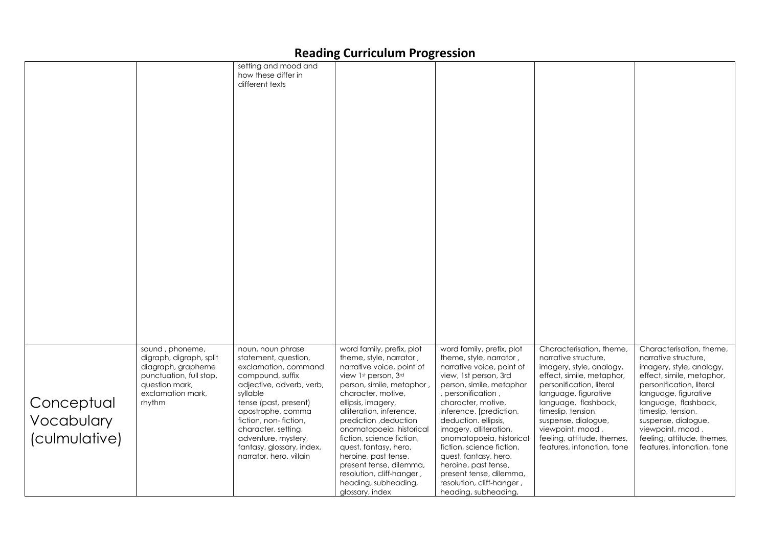|                                           |                                                                                                                                              | setting and mood and<br>how these differ in<br>different texts                                                                                                                                                                                                                                             |                                                                                                                                                                                                                                                                                                                                                                                                                                                      |                                                                                                                                                                                                                                                                                                                                                                                                                                                           |                                                                                                                                                                                                                                                                                                                    |                                                                                                                                                                                                                                                                                                                    |
|-------------------------------------------|----------------------------------------------------------------------------------------------------------------------------------------------|------------------------------------------------------------------------------------------------------------------------------------------------------------------------------------------------------------------------------------------------------------------------------------------------------------|------------------------------------------------------------------------------------------------------------------------------------------------------------------------------------------------------------------------------------------------------------------------------------------------------------------------------------------------------------------------------------------------------------------------------------------------------|-----------------------------------------------------------------------------------------------------------------------------------------------------------------------------------------------------------------------------------------------------------------------------------------------------------------------------------------------------------------------------------------------------------------------------------------------------------|--------------------------------------------------------------------------------------------------------------------------------------------------------------------------------------------------------------------------------------------------------------------------------------------------------------------|--------------------------------------------------------------------------------------------------------------------------------------------------------------------------------------------------------------------------------------------------------------------------------------------------------------------|
| Conceptual<br>Vocabulary<br>(culmulative) | sound, phoneme,<br>digraph, digraph, split<br>diagraph, grapheme<br>punctuation, full stop,<br>question mark,<br>exclamation mark,<br>rhythm | noun, noun phrase<br>statement, question,<br>exclamation, command<br>compound, suffix<br>adjective, adverb, verb,<br>syllable<br>tense (past, present)<br>apostrophe, comma<br>fiction, non-fiction,<br>character, setting,<br>adventure, mystery,<br>fantasy, glossary, index,<br>narrator, hero, villain | word family, prefix, plot<br>theme, style, narrator,<br>narrative voice, point of<br>view 1st person, 3rd<br>person, simile, metaphor,<br>character, motive,<br>ellipsis, imagery,<br>alliteration, inference,<br>prediction, deduction<br>onomatopoeia, historical<br>fiction, science fiction,<br>quest, fantasy, hero,<br>heroine, past tense,<br>present tense, dilemma,<br>resolution, cliff-hanger,<br>heading, subheading,<br>glossary, index | word family, prefix, plot<br>theme, style, narrator,<br>narrative voice, point of<br>view, 1st person, 3rd<br>person, simile, metaphor<br>, personification,<br>character, motive,<br>inference, [prediction,<br>deduction. ellipsis,<br>imagery, alliteration,<br>onomatopoeia, historical<br>fiction, science fiction,<br>quest, fantasy, hero,<br>heroine, past tense,<br>present tense, dilemma,<br>resolution, cliff-hanger,<br>heading, subheading, | Characterisation, theme,<br>narrative structure,<br>imagery, style, analogy,<br>effect, simile, metaphor,<br>personification, literal<br>language, figurative<br>language, flashback,<br>timeslip, tension,<br>suspense, dialogue,<br>viewpoint, mood,<br>feeling, attitude, themes,<br>features, intonation, tone | Characterisation, theme,<br>narrative structure,<br>imagery, style, analogy,<br>effect, simile, metaphor,<br>personification, literal<br>language, figurative<br>language, flashback,<br>timeslip, tension,<br>suspense, dialogue,<br>viewpoint, mood,<br>feeling, attitude, themes,<br>features, intonation, tone |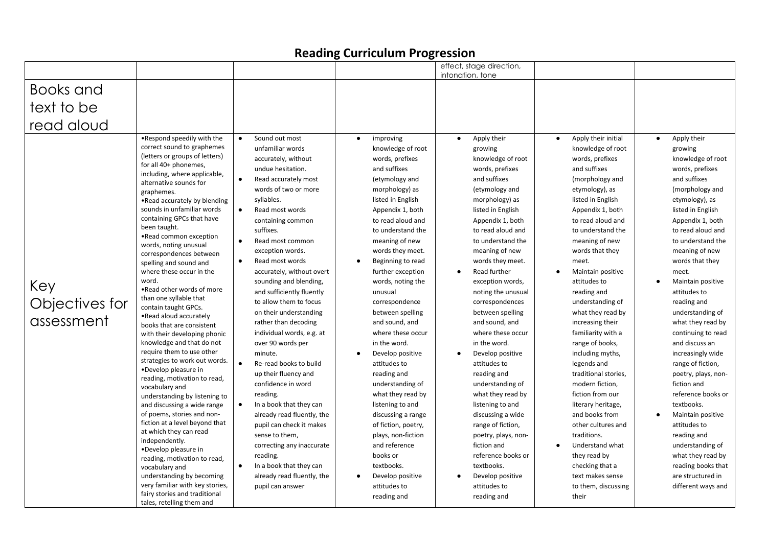|                                     |                                                                                                                                                                                                                                                                                                                                                                                                                                                                                                                                                                                                                                                                                                                                                                                                                                                                                                                                                                                                                                                                                                                                                                                    |                                                                                                                                                                                                                                                                                                                                                                                                                                                                                                                                                                                                                                                                                                                                                                                                                                                                                                                    |                                                                                                                                                                                                                                                                                                                                                                                                                                                                                                                                                                                                                                                                                                                               | effect, stage direction,<br>intonation, tone                                                                                                                                                                                                                                                                                                                                                                                                                                                                                                                                                                                                                                                                                                   |                                                                                                                                                                                                                                                                                                                                                                                                                                                                                                                                                                                                                                                                                                      |                                                                                                                                                                                                                                                                                                                                                                                                                                                                                                                                                                                                                                                                                                       |
|-------------------------------------|------------------------------------------------------------------------------------------------------------------------------------------------------------------------------------------------------------------------------------------------------------------------------------------------------------------------------------------------------------------------------------------------------------------------------------------------------------------------------------------------------------------------------------------------------------------------------------------------------------------------------------------------------------------------------------------------------------------------------------------------------------------------------------------------------------------------------------------------------------------------------------------------------------------------------------------------------------------------------------------------------------------------------------------------------------------------------------------------------------------------------------------------------------------------------------|--------------------------------------------------------------------------------------------------------------------------------------------------------------------------------------------------------------------------------------------------------------------------------------------------------------------------------------------------------------------------------------------------------------------------------------------------------------------------------------------------------------------------------------------------------------------------------------------------------------------------------------------------------------------------------------------------------------------------------------------------------------------------------------------------------------------------------------------------------------------------------------------------------------------|-------------------------------------------------------------------------------------------------------------------------------------------------------------------------------------------------------------------------------------------------------------------------------------------------------------------------------------------------------------------------------------------------------------------------------------------------------------------------------------------------------------------------------------------------------------------------------------------------------------------------------------------------------------------------------------------------------------------------------|------------------------------------------------------------------------------------------------------------------------------------------------------------------------------------------------------------------------------------------------------------------------------------------------------------------------------------------------------------------------------------------------------------------------------------------------------------------------------------------------------------------------------------------------------------------------------------------------------------------------------------------------------------------------------------------------------------------------------------------------|------------------------------------------------------------------------------------------------------------------------------------------------------------------------------------------------------------------------------------------------------------------------------------------------------------------------------------------------------------------------------------------------------------------------------------------------------------------------------------------------------------------------------------------------------------------------------------------------------------------------------------------------------------------------------------------------------|-------------------------------------------------------------------------------------------------------------------------------------------------------------------------------------------------------------------------------------------------------------------------------------------------------------------------------------------------------------------------------------------------------------------------------------------------------------------------------------------------------------------------------------------------------------------------------------------------------------------------------------------------------------------------------------------------------|
| Books and                           |                                                                                                                                                                                                                                                                                                                                                                                                                                                                                                                                                                                                                                                                                                                                                                                                                                                                                                                                                                                                                                                                                                                                                                                    |                                                                                                                                                                                                                                                                                                                                                                                                                                                                                                                                                                                                                                                                                                                                                                                                                                                                                                                    |                                                                                                                                                                                                                                                                                                                                                                                                                                                                                                                                                                                                                                                                                                                               |                                                                                                                                                                                                                                                                                                                                                                                                                                                                                                                                                                                                                                                                                                                                                |                                                                                                                                                                                                                                                                                                                                                                                                                                                                                                                                                                                                                                                                                                      |                                                                                                                                                                                                                                                                                                                                                                                                                                                                                                                                                                                                                                                                                                       |
|                                     |                                                                                                                                                                                                                                                                                                                                                                                                                                                                                                                                                                                                                                                                                                                                                                                                                                                                                                                                                                                                                                                                                                                                                                                    |                                                                                                                                                                                                                                                                                                                                                                                                                                                                                                                                                                                                                                                                                                                                                                                                                                                                                                                    |                                                                                                                                                                                                                                                                                                                                                                                                                                                                                                                                                                                                                                                                                                                               |                                                                                                                                                                                                                                                                                                                                                                                                                                                                                                                                                                                                                                                                                                                                                |                                                                                                                                                                                                                                                                                                                                                                                                                                                                                                                                                                                                                                                                                                      |                                                                                                                                                                                                                                                                                                                                                                                                                                                                                                                                                                                                                                                                                                       |
| text to be                          |                                                                                                                                                                                                                                                                                                                                                                                                                                                                                                                                                                                                                                                                                                                                                                                                                                                                                                                                                                                                                                                                                                                                                                                    |                                                                                                                                                                                                                                                                                                                                                                                                                                                                                                                                                                                                                                                                                                                                                                                                                                                                                                                    |                                                                                                                                                                                                                                                                                                                                                                                                                                                                                                                                                                                                                                                                                                                               |                                                                                                                                                                                                                                                                                                                                                                                                                                                                                                                                                                                                                                                                                                                                                |                                                                                                                                                                                                                                                                                                                                                                                                                                                                                                                                                                                                                                                                                                      |                                                                                                                                                                                                                                                                                                                                                                                                                                                                                                                                                                                                                                                                                                       |
| read aloud                          |                                                                                                                                                                                                                                                                                                                                                                                                                                                                                                                                                                                                                                                                                                                                                                                                                                                                                                                                                                                                                                                                                                                                                                                    |                                                                                                                                                                                                                                                                                                                                                                                                                                                                                                                                                                                                                                                                                                                                                                                                                                                                                                                    |                                                                                                                                                                                                                                                                                                                                                                                                                                                                                                                                                                                                                                                                                                                               |                                                                                                                                                                                                                                                                                                                                                                                                                                                                                                                                                                                                                                                                                                                                                |                                                                                                                                                                                                                                                                                                                                                                                                                                                                                                                                                                                                                                                                                                      |                                                                                                                                                                                                                                                                                                                                                                                                                                                                                                                                                                                                                                                                                                       |
| Key<br>Objectives for<br>assessment | .Respond speedily with the<br>correct sound to graphemes<br>(letters or groups of letters)<br>for all 40+ phonemes,<br>including, where applicable,<br>alternative sounds for<br>graphemes.<br>•Read accurately by blending<br>sounds in unfamiliar words<br>containing GPCs that have<br>been taught.<br>•Read common exception<br>words, noting unusual<br>correspondences between<br>spelling and sound and<br>where these occur in the<br>word.<br>.Read other words of more<br>than one syllable that<br>contain taught GPCs.<br>.Read aloud accurately<br>books that are consistent<br>with their developing phonic<br>knowledge and that do not<br>require them to use other<br>strategies to work out words.<br>•Develop pleasure in<br>reading, motivation to read,<br>vocabulary and<br>understanding by listening to<br>and discussing a wide range<br>of poems, stories and non-<br>fiction at a level beyond that<br>at which they can read<br>independently.<br>•Develop pleasure in<br>reading, motivation to read,<br>vocabulary and<br>understanding by becoming<br>very familiar with key stories,<br>fairy stories and traditional<br>tales, retelling them and | Sound out most<br>$\bullet$<br>unfamiliar words<br>accurately, without<br>undue hesitation.<br>$\bullet$<br>Read accurately most<br>words of two or more<br>syllables.<br>$\bullet$<br>Read most words<br>containing common<br>suffixes.<br>Read most common<br>$\bullet$<br>exception words.<br>Read most words<br>$\bullet$<br>accurately, without overt<br>sounding and blending,<br>and sufficiently fluently<br>to allow them to focus<br>on their understanding<br>rather than decoding<br>individual words, e.g. at<br>over 90 words per<br>minute.<br>Re-read books to build<br>$\bullet$<br>up their fluency and<br>confidence in word<br>reading.<br>$\bullet$<br>In a book that they can<br>already read fluently, the<br>pupil can check it makes<br>sense to them,<br>correcting any inaccurate<br>reading.<br>In a book that they can<br>$\bullet$<br>already read fluently, the<br>pupil can answer | improving<br>$\bullet$<br>knowledge of root<br>words, prefixes<br>and suffixes<br>(etymology and<br>morphology) as<br>listed in English<br>Appendix 1, both<br>to read aloud and<br>to understand the<br>meaning of new<br>words they meet.<br>Beginning to read<br>$\bullet$<br>further exception<br>words, noting the<br>unusual<br>correspondence<br>between spelling<br>and sound, and<br>where these occur<br>in the word.<br>Develop positive<br>attitudes to<br>reading and<br>understanding of<br>what they read by<br>listening to and<br>discussing a range<br>of fiction, poetry,<br>plays, non-fiction<br>and reference<br>books or<br>textbooks.<br>Develop positive<br>$\bullet$<br>attitudes to<br>reading and | Apply their<br>$\bullet$<br>growing<br>knowledge of root<br>words, prefixes<br>and suffixes<br>(etymology and<br>morphology) as<br>listed in English<br>Appendix 1, both<br>to read aloud and<br>to understand the<br>meaning of new<br>words they meet.<br>Read further<br>$\bullet$<br>exception words,<br>noting the unusual<br>correspondences<br>between spelling<br>and sound, and<br>where these occur<br>in the word.<br>Develop positive<br>$\bullet$<br>attitudes to<br>reading and<br>understanding of<br>what they read by<br>listening to and<br>discussing a wide<br>range of fiction,<br>poetry, plays, non-<br>fiction and<br>reference books or<br>textbooks.<br>Develop positive<br>$\bullet$<br>attitudes to<br>reading and | Apply their initial<br>knowledge of root<br>words, prefixes<br>and suffixes<br>(morphology and<br>etymology), as<br>listed in English<br>Appendix 1, both<br>to read aloud and<br>to understand the<br>meaning of new<br>words that they<br>meet.<br>Maintain positive<br>attitudes to<br>reading and<br>understanding of<br>what they read by<br>increasing their<br>familiarity with a<br>range of books,<br>including myths,<br>legends and<br>traditional stories,<br>modern fiction,<br>fiction from our<br>literary heritage,<br>and books from<br>other cultures and<br>traditions.<br>Understand what<br>they read by<br>checking that a<br>text makes sense<br>to them, discussing<br>their | Apply their<br>$\bullet$<br>growing<br>knowledge of root<br>words, prefixes<br>and suffixes<br>(morphology and<br>etymology), as<br>listed in English<br>Appendix 1, both<br>to read aloud and<br>to understand the<br>meaning of new<br>words that they<br>meet.<br>Maintain positive<br>attitudes to<br>reading and<br>understanding of<br>what they read by<br>continuing to read<br>and discuss an<br>increasingly wide<br>range of fiction,<br>poetry, plays, non-<br>fiction and<br>reference books or<br>textbooks.<br>Maintain positive<br>$\bullet$<br>attitudes to<br>reading and<br>understanding of<br>what they read by<br>reading books that<br>are structured in<br>different ways and |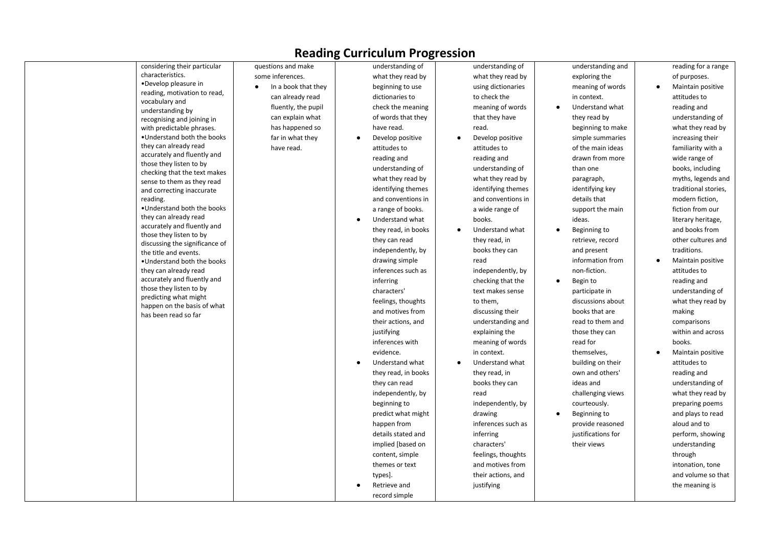| considering their particular                         | questions and make  | understanding of             | understanding of   | understanding and  | reading for a range            |
|------------------------------------------------------|---------------------|------------------------------|--------------------|--------------------|--------------------------------|
| characteristics.                                     | some inferences.    | what they read by            | what they read by  | exploring the      | of purposes.                   |
| •Develop pleasure in                                 | In a book that they | beginning to use             | using dictionaries | meaning of words   | Maintain positive<br>$\bullet$ |
| reading, motivation to read,<br>vocabulary and       | can already read    | dictionaries to              | to check the       | in context.        | attitudes to                   |
| understanding by                                     | fluently, the pupil | check the meaning            | meaning of words   | Understand what    | reading and                    |
| recognising and joining in                           | can explain what    | of words that they           | that they have     | they read by       | understanding of               |
| with predictable phrases.                            | has happened so     | have read.                   | read.              | beginning to make  | what they read by              |
| . Understand both the books                          | far in what they    | Develop positive             | Develop positive   | simple summaries   | increasing their               |
| they can already read                                | have read.          | attitudes to                 | attitudes to       | of the main ideas  | familiarity with a             |
| accurately and fluently and                          |                     | reading and                  | reading and        | drawn from more    | wide range of                  |
| those they listen to by                              |                     | understanding of             | understanding of   | than one           | books, including               |
| checking that the text makes                         |                     | what they read by            | what they read by  | paragraph,         | myths, legends and             |
| sense to them as they read                           |                     | identifying themes           | identifying themes | identifying key    | traditional stories,           |
| and correcting inaccurate<br>reading.                |                     | and conventions in           | and conventions in | details that       | modern fiction,                |
| . Understand both the books                          |                     | a range of books.            | a wide range of    | support the main   | fiction from our               |
| they can already read                                |                     | Understand what<br>$\bullet$ | books.             | ideas.             | literary heritage,             |
| accurately and fluently and                          |                     | they read, in books          | Understand what    | Beginning to       | and books from                 |
| those they listen to by                              |                     | they can read                | they read, in      | retrieve, record   | other cultures and             |
| discussing the significance of                       |                     |                              |                    | and present        | traditions.                    |
| the title and events.                                |                     | independently, by            | books they can     |                    |                                |
| . Understand both the books                          |                     | drawing simple               | read               | information from   | Maintain positive              |
| they can already read<br>accurately and fluently and |                     | inferences such as           | independently, by  | non-fiction.       | attitudes to                   |
| those they listen to by                              |                     | inferring                    | checking that the  | Begin to           | reading and                    |
| predicting what might                                |                     | characters'                  | text makes sense   | participate in     | understanding of               |
| happen on the basis of what                          |                     | feelings, thoughts           | to them,           | discussions about  | what they read by              |
| has been read so far                                 |                     | and motives from             | discussing their   | books that are     | making                         |
|                                                      |                     | their actions, and           | understanding and  | read to them and   | comparisons                    |
|                                                      |                     | justifying                   | explaining the     | those they can     | within and across              |
|                                                      |                     | inferences with              | meaning of words   | read for           | books.                         |
|                                                      |                     | evidence.                    | in context.        | themselves,        | Maintain positive              |
|                                                      |                     | Understand what              | Understand what    | building on their  | attitudes to                   |
|                                                      |                     | they read, in books          | they read, in      | own and others'    | reading and                    |
|                                                      |                     | they can read                | books they can     | ideas and          | understanding of               |
|                                                      |                     | independently, by            | read               | challenging views  | what they read by              |
|                                                      |                     | beginning to                 | independently, by  | courteously.       | preparing poems                |
|                                                      |                     | predict what might           | drawing            | Beginning to       | and plays to read              |
|                                                      |                     | happen from                  | inferences such as | provide reasoned   | aloud and to                   |
|                                                      |                     | details stated and           | inferring          | justifications for | perform, showing               |
|                                                      |                     | implied [based on            | characters'        | their views        | understanding                  |
|                                                      |                     | content, simple              | feelings, thoughts |                    | through                        |
|                                                      |                     | themes or text               | and motives from   |                    | intonation, tone               |
|                                                      |                     | types].                      | their actions, and |                    | and volume so that             |
|                                                      |                     | Retrieve and                 | justifying         |                    | the meaning is                 |
|                                                      |                     | record simple                |                    |                    |                                |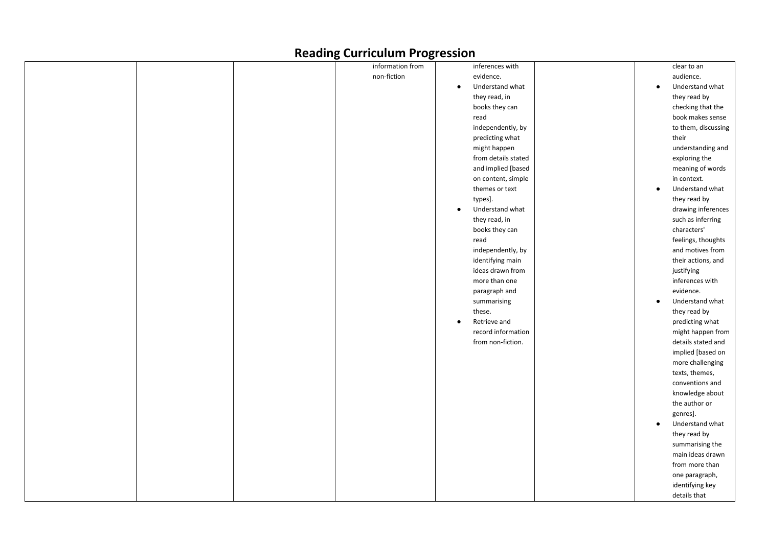|  | o·               | $- - -$                      |           |                     |
|--|------------------|------------------------------|-----------|---------------------|
|  | information from | inferences with              |           | clear to an         |
|  | non-fiction      | evidence.                    |           | audience.           |
|  |                  | Understand what<br>$\bullet$ | $\bullet$ | Understand what     |
|  |                  | they read, in                |           | they read by        |
|  |                  | books they can               |           | checking that the   |
|  |                  | read                         |           | book makes sense    |
|  |                  | independently, by            |           | to them, discussing |
|  |                  | predicting what              |           | their               |
|  |                  | might happen                 |           | understanding and   |
|  |                  | from details stated          |           | exploring the       |
|  |                  | and implied [based           |           | meaning of words    |
|  |                  | on content, simple           |           | in context.         |
|  |                  | themes or text               | $\bullet$ | Understand what     |
|  |                  | types].                      |           | they read by        |
|  |                  | Understand what<br>$\bullet$ |           | drawing inferences  |
|  |                  | they read, in                |           | such as inferring   |
|  |                  | books they can               |           | characters'         |
|  |                  | read                         |           | feelings, thoughts  |
|  |                  | independently, by            |           | and motives from    |
|  |                  | identifying main             |           | their actions, and  |
|  |                  | ideas drawn from             |           | justifying          |
|  |                  | more than one                |           | inferences with     |
|  |                  | paragraph and                |           | evidence.           |
|  |                  | summarising                  | $\bullet$ | Understand what     |
|  |                  | these.                       |           | they read by        |
|  |                  | Retrieve and<br>$\bullet$    |           | predicting what     |
|  |                  | record information           |           | might happen from   |
|  |                  | from non-fiction.            |           | details stated and  |
|  |                  |                              |           | implied [based on   |
|  |                  |                              |           | more challenging    |
|  |                  |                              |           | texts, themes,      |
|  |                  |                              |           | conventions and     |
|  |                  |                              |           | knowledge about     |
|  |                  |                              |           | the author or       |
|  |                  |                              |           | genres].            |
|  |                  |                              |           | Understand what     |
|  |                  |                              |           | they read by        |
|  |                  |                              |           | summarising the     |
|  |                  |                              |           | main ideas drawn    |
|  |                  |                              |           | from more than      |
|  |                  |                              |           | one paragraph,      |
|  |                  |                              |           | identifying key     |
|  |                  |                              |           | details that        |